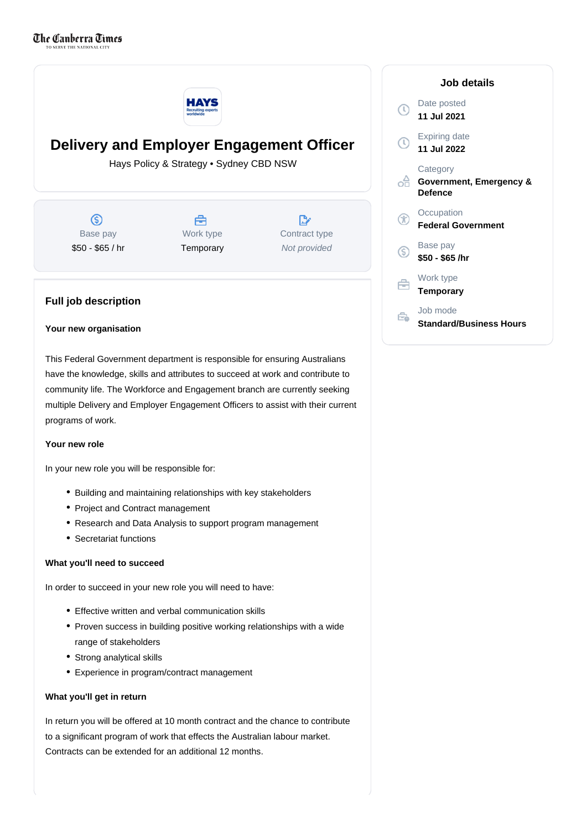

# **Delivery and Employer Engagement Officer**

Hays Policy & Strategy • Sydney CBD NSW

ல Base pay \$50 - \$65 / hr



D. Contract type Not provided

## **Full job description**

#### **Your new organisation**

This Federal Government department is responsible for ensuring Australians have the knowledge, skills and attributes to succeed at work and contribute to community life. The Workforce and Engagement branch are currently seeking multiple Delivery and Employer Engagement Officers to assist with their current programs of work.

#### **Your new role**

In your new role you will be responsible for:

- Building and maintaining relationships with key stakeholders
- Project and Contract management
- Research and Data Analysis to support program management
- Secretariat functions

## **What you'll need to succeed**

In order to succeed in your new role you will need to have:

- Effective written and verbal communication skills
- Proven success in building positive working relationships with a wide range of stakeholders
- Strong analytical skills
- Experience in program/contract management

## **What you'll get in return**

In return you will be offered at 10 month contract and the chance to contribute to a significant program of work that effects the Australian labour market. Contracts can be extended for an additional 12 months.

| Job details |                                                       |
|-------------|-------------------------------------------------------|
| T)          | Date posted<br>11 Jul 2021                            |
| O           | <b>Expiring date</b><br>11 Jul 2022                   |
|             | Category<br>Government, Emergency &<br><b>Defence</b> |
|             | Occupation<br><b>Federal Government</b>               |
| G           | Base pay<br>\$50 - \$65 /hr                           |
|             | Work type<br><b>Temporary</b>                         |
|             | Job mode<br>Standard/Business Hours                   |